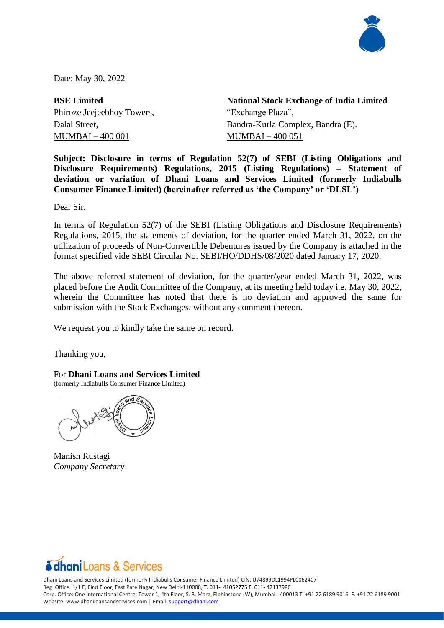

Date: May 30, 2022

**BSE Limited** Phiroze Jeejeebhoy Towers, Dalal Street, MUMBAI – 400 001

**National Stock Exchange of India Limited** "Exchange Plaza", Bandra-Kurla Complex, Bandra (E). MUMBAI – 400 051

**Subject: Disclosure in terms of Regulation 52(7) of SEBI (Listing Obligations and Disclosure Requirements) Regulations, 2015 (Listing Regulations) – Statement of deviation or variation of Dhani Loans and Services Limited (formerly Indiabulls Consumer Finance Limited) (hereinafter referred as 'the Company' or 'DLSL')**

Dear Sir,

In terms of Regulation 52(7) of the SEBI (Listing Obligations and Disclosure Requirements) Regulations, 2015, the statements of deviation, for the quarter ended March 31, 2022, on the utilization of proceeds of Non-Convertible Debentures issued by the Company is attached in the format specified vide SEBI Circular No. SEBI/HO/DDHS/08/2020 dated January 17, 2020.

The above referred statement of deviation, for the quarter/year ended March 31, 2022, was placed before the Audit Committee of the Company, at its meeting held today i.e. May 30, 2022, wherein the Committee has noted that there is no deviation and approved the same for submission with the Stock Exchanges, without any comment thereon.

We request you to kindly take the same on record.

Thanking you,

For **Dhani Loans and Services Limited**

(formerly Indiabulls Consumer Finance Limited)

Manish Rustagi *Company Secretary*



Dhani Loans and Services Limited (formerly Indiabulls Consumer Finance Limited) CIN: U74899DL1994PLC062407 Reg. Office: 1/1 E, First Floor, East Pate Nagar, New Delhi-110008, T. 011- 41052775 F. 011- 42137986 Corp. Office: One International Centre, Tower 1, 4th Floor, S. B. Marg, Elphinstone (W), Mumbai - 400013 T. +91 22 6189 9016 F. +91 22 6189 9001 Website: www.dhaniloansandservices.com | Email: [support@dhani.com](mailto:support@dhani.com)